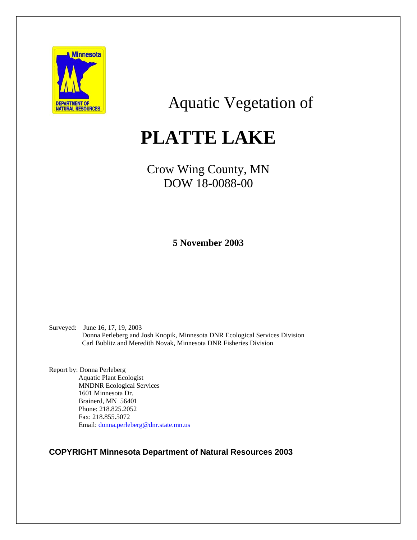

## Aquatic Vegetation of

# **PLATTE LAKE**

## Crow Wing County, MN DOW 18-0088-00

**5 November 2003** 

Surveyed: June 16, 17, 19, 2003 Donna Perleberg and Josh Knopik, Minnesota DNR Ecological Services Division Carl Bublitz and Meredith Novak, Minnesota DNR Fisheries Division

Report by: Donna Perleberg Aquatic Plant Ecologist MNDNR Ecological Services 1601 Minnesota Dr. Brainerd, MN 56401 Phone: 218.825.2052 Fax: 218.855.5072 Email: [donna.perleberg@dnr.state.mn.us](mailto:donna.perleberg@dnr.state.mn.us)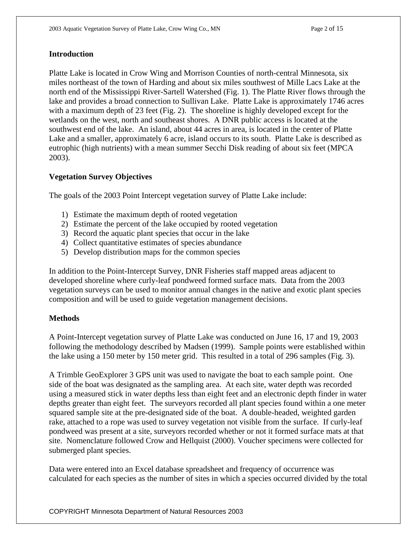#### **Introduction**

Platte Lake is located in Crow Wing and Morrison Counties of north-central Minnesota, six miles northeast of the town of Harding and about six miles southwest of Mille Lacs Lake at the north end of the Mississippi River-Sartell Watershed (Fig. 1). The Platte River flows through the lake and provides a broad connection to Sullivan Lake. Platte Lake is approximately 1746 acres with a maximum depth of 23 feet (Fig. 2). The shoreline is highly developed except for the wetlands on the west, north and southeast shores. A DNR public access is located at the southwest end of the lake. An island, about 44 acres in area, is located in the center of Platte Lake and a smaller, approximately 6 acre, island occurs to its south. Platte Lake is described as eutrophic (high nutrients) with a mean summer Secchi Disk reading of about six feet (MPCA 2003).

#### **Vegetation Survey Objectives**

The goals of the 2003 Point Intercept vegetation survey of Platte Lake include:

- 1) Estimate the maximum depth of rooted vegetation
- 2) Estimate the percent of the lake occupied by rooted vegetation
- 3) Record the aquatic plant species that occur in the lake
- 4) Collect quantitative estimates of species abundance
- 5) Develop distribution maps for the common species

In addition to the Point-Intercept Survey, DNR Fisheries staff mapped areas adjacent to developed shoreline where curly-leaf pondweed formed surface mats. Data from the 2003 vegetation surveys can be used to monitor annual changes in the native and exotic plant species composition and will be used to guide vegetation management decisions.

#### **Methods**

A Point-Intercept vegetation survey of Platte Lake was conducted on June 16, 17 and 19, 2003 following the methodology described by Madsen (1999). Sample points were established within the lake using a 150 meter by 150 meter grid. This resulted in a total of 296 samples (Fig. 3).

A Trimble GeoExplorer 3 GPS unit was used to navigate the boat to each sample point. One side of the boat was designated as the sampling area. At each site, water depth was recorded using a measured stick in water depths less than eight feet and an electronic depth finder in water depths greater than eight feet. The surveyors recorded all plant species found within a one meter squared sample site at the pre-designated side of the boat. A double-headed, weighted garden rake, attached to a rope was used to survey vegetation not visible from the surface. If curly-leaf pondweed was present at a site, surveyors recorded whether or not it formed surface mats at that site. Nomenclature followed Crow and Hellquist (2000). Voucher specimens were collected for submerged plant species.

Data were entered into an Excel database spreadsheet and frequency of occurrence was calculated for each species as the number of sites in which a species occurred divided by the total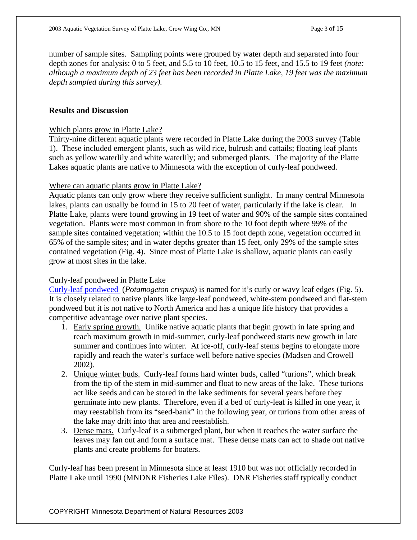number of sample sites. Sampling points were grouped by water depth and separated into four depth zones for analysis: 0 to 5 feet, and 5.5 to 10 feet, 10.5 to 15 feet, and 15.5 to 19 feet *(note: although a maximum depth of 23 feet has been recorded in Platte Lake, 19 feet was the maximum depth sampled during this survey).* 

#### **Results and Discussion**

#### Which plants grow in Platte Lake?

Thirty-nine different aquatic plants were recorded in Platte Lake during the 2003 survey (Table 1). These included emergent plants, such as wild rice, bulrush and cattails; floating leaf plants such as yellow waterlily and white waterlily; and submerged plants. The majority of the Platte Lakes aquatic plants are native to Minnesota with the exception of curly-leaf pondweed.

#### Where can aquatic plants grow in Platte Lake?

Aquatic plants can only grow where they receive sufficient sunlight. In many central Minnesota lakes, plants can usually be found in 15 to 20 feet of water, particularly if the lake is clear. In Platte Lake, plants were found growing in 19 feet of water and 90% of the sample sites contained vegetation. Plants were most common in from shore to the 10 foot depth where 99% of the sample sites contained vegetation; within the 10.5 to 15 foot depth zone, vegetation occurred in 65% of the sample sites; and in water depths greater than 15 feet, only 29% of the sample sites contained vegetation (Fig. 4). Since most of Platte Lake is shallow, aquatic plants can easily grow at most sites in the lake.

#### Curly-leaf pondweed in Platte Lake

[Curly-leaf pondweed](http://www.dnr.state.mn.us/aquatic_plants/submerged_plants/curlyleaf_pondweed.html) (*Potamogeton crispus*) is named for it's curly or wavy leaf edges (Fig. 5). It is closely related to native plants like large-leaf pondweed, white-stem pondweed and flat-stem pondweed but it is not native to North America and has a unique life history that provides a competitive advantage over native plant species.

- 1. Early spring growth. Unlike native aquatic plants that begin growth in late spring and reach maximum growth in mid-summer, curly-leaf pondweed starts new growth in late summer and continues into winter. At ice-off, curly-leaf stems begins to elongate more rapidly and reach the water's surface well before native species (Madsen and Crowell 2002).
- 2. Unique winter buds. Curly-leaf forms hard winter buds, called "turions", which break from the tip of the stem in mid-summer and float to new areas of the lake. These turions act like seeds and can be stored in the lake sediments for several years before they germinate into new plants. Therefore, even if a bed of curly-leaf is killed in one year, it may reestablish from its "seed-bank" in the following year, or turions from other areas of the lake may drift into that area and reestablish.
- 3. Dense mats. Curly-leaf is a submerged plant, but when it reaches the water surface the leaves may fan out and form a surface mat. These dense mats can act to shade out native plants and create problems for boaters.

Curly-leaf has been present in Minnesota since at least 1910 but was not officially recorded in Platte Lake until 1990 (MNDNR Fisheries Lake Files). DNR Fisheries staff typically conduct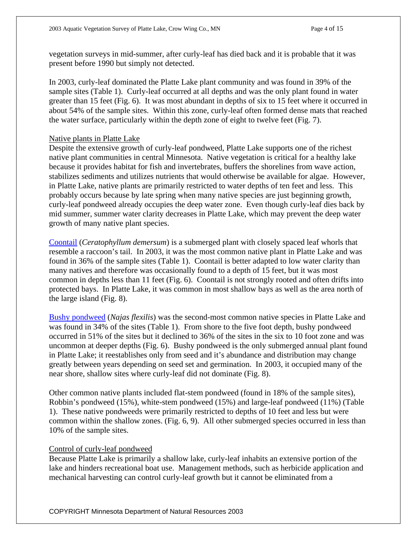vegetation surveys in mid-summer, after curly-leaf has died back and it is probable that it was present before 1990 but simply not detected.

In 2003, curly-leaf dominated the Platte Lake plant community and was found in 39% of the sample sites (Table 1). Curly-leaf occurred at all depths and was the only plant found in water greater than 15 feet (Fig. 6). It was most abundant in depths of six to 15 feet where it occurred in about 54% of the sample sites. Within this zone, curly-leaf often formed dense mats that reached the water surface, particularly within the depth zone of eight to twelve feet (Fig. 7).

#### Native plants in Platte Lake

Despite the extensive growth of curly-leaf pondweed, Platte Lake supports one of the richest native plant communities in central Minnesota. Native vegetation is critical for a healthy lake because it provides habitat for fish and invertebrates, buffers the shorelines from wave action, stabilizes sediments and utilizes nutrients that would otherwise be available for algae. However, in Platte Lake, native plants are primarily restricted to water depths of ten feet and less. This probably occurs because by late spring when many native species are just beginning growth, curly-leaf pondweed already occupies the deep water zone. Even though curly-leaf dies back by mid summer, summer water clarity decreases in Platte Lake, which may prevent the deep water growth of many native plant species.

[Coontail](http://www.dnr.state.mn.us/aquatic_plants/submerged_plants/coontail.html) (*Ceratophyllum demersum*) is a submerged plant with closely spaced leaf whorls that resemble a raccoon's tail. In 2003, it was the most common native plant in Platte Lake and was found in 36% of the sample sites (Table 1). Coontail is better adapted to low water clarity than many natives and therefore was occasionally found to a depth of 15 feet, but it was most common in depths less than 11 feet (Fig. 6). Coontail is not strongly rooted and often drifts into protected bays. In Platte Lake, it was common in most shallow bays as well as the area north of the large island (Fig. 8).

[Bushy pondweed](http://www.dnr.state.mn.us/aquatic_plants/submerged_plants/bushy_pondweeds.html) (*Najas flexilis*) was the second-most common native species in Platte Lake and was found in 34% of the sites (Table 1). From shore to the five foot depth, bushy pondweed occurred in 51% of the sites but it declined to 36% of the sites in the six to 10 foot zone and was uncommon at deeper depths (Fig. 6). Bushy pondweed is the only submerged annual plant found in Platte Lake; it reestablishes only from seed and it's abundance and distribution may change greatly between years depending on seed set and germination. In 2003, it occupied many of the near shore, shallow sites where curly-leaf did not dominate (Fig. 8).

Other common native plants included flat-stem pondweed (found in 18% of the sample sites), Robbin's pondweed (15%), white-stem pondweed (15%) and large-leaf pondweed (11%) (Table 1). These native pondweeds were primarily restricted to depths of 10 feet and less but were common within the shallow zones. (Fig. 6, 9). All other submerged species occurred in less than 10% of the sample sites.

#### Control of curly-leaf pondweed

Because Platte Lake is primarily a shallow lake, curly-leaf inhabits an extensive portion of the lake and hinders recreational boat use. Management methods, such as herbicide application and mechanical harvesting can control curly-leaf growth but it cannot be eliminated from a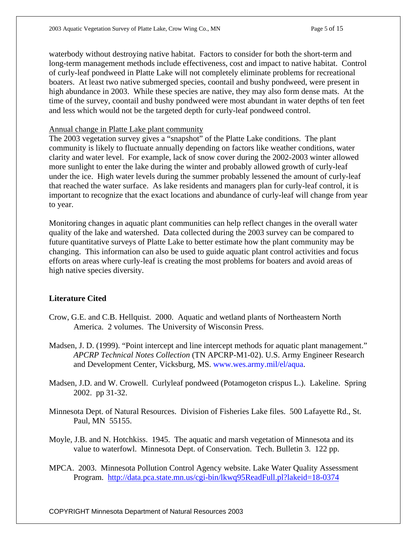waterbody without destroying native habitat. Factors to consider for both the short-term and long-term management methods include effectiveness, cost and impact to native habitat. Control of curly-leaf pondweed in Platte Lake will not completely eliminate problems for recreational boaters. At least two native submerged species, coontail and bushy pondweed, were present in high abundance in 2003. While these species are native, they may also form dense mats. At the time of the survey, coontail and bushy pondweed were most abundant in water depths of ten feet and less which would not be the targeted depth for curly-leaf pondweed control.

#### Annual change in Platte Lake plant community

The 2003 vegetation survey gives a "snapshot" of the Platte Lake conditions. The plant community is likely to fluctuate annually depending on factors like weather conditions, water clarity and water level. For example, lack of snow cover during the 2002-2003 winter allowed more sunlight to enter the lake during the winter and probably allowed growth of curly-leaf under the ice. High water levels during the summer probably lessened the amount of curly-leaf that reached the water surface. As lake residents and managers plan for curly-leaf control, it is important to recognize that the exact locations and abundance of curly-leaf will change from year to year.

Monitoring changes in aquatic plant communities can help reflect changes in the overall water quality of the lake and watershed. Data collected during the 2003 survey can be compared to future quantitative surveys of Platte Lake to better estimate how the plant community may be changing. This information can also be used to guide aquatic plant control activities and focus efforts on areas where curly-leaf is creating the most problems for boaters and avoid areas of high native species diversity.

#### **Literature Cited**

- Crow, G.E. and C.B. Hellquist. 2000. Aquatic and wetland plants of Northeastern North America. 2 volumes. The University of Wisconsin Press.
- Madsen, J. D. (1999). "Point intercept and line intercept methods for aquatic plant management." *APCRP Technical Notes Collection* (TN APCRP-M1-02). U.S. Army Engineer Research and Development Center, Vicksburg, MS. www.wes.army.mil/el/aqua.
- Madsen, J.D. and W. Crowell. Curlyleaf pondweed (Potamogeton crispus L.). Lakeline. Spring 2002. pp 31-32.
- Minnesota Dept. of Natural Resources. Division of Fisheries Lake files. 500 Lafayette Rd., St. Paul, MN 55155.
- Moyle, J.B. and N. Hotchkiss. 1945. The aquatic and marsh vegetation of Minnesota and its value to waterfowl. Minnesota Dept. of Conservation. Tech. Bulletin 3. 122 pp.
- MPCA. 2003. Minnesota Pollution Control Agency website. Lake Water Quality Assessment Program. <http://data.pca.state.mn.us/cgi-bin/lkwq95ReadFull.pl?lakeid=18-0374>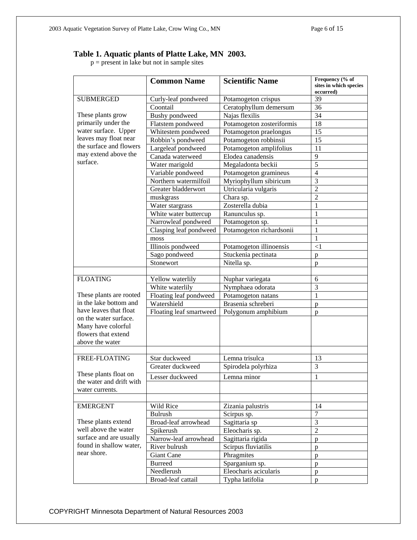#### **Table 1. Aquatic plants of Platte Lake, MN 2003.**

 $p =$  present in lake but not in sample sites

|                                                                                                                                                                              | <b>Common Name</b>      | <b>Scientific Name</b>    | Frequency (% of<br>sites in which species<br>occurred) |
|------------------------------------------------------------------------------------------------------------------------------------------------------------------------------|-------------------------|---------------------------|--------------------------------------------------------|
| <b>SUBMERGED</b><br>These plants grow<br>primarily under the<br>water surface. Upper<br>leaves may float near<br>the surface and flowers<br>may extend above the<br>surface. | Curly-leaf pondweed     | Potamogeton crispus       | 39                                                     |
|                                                                                                                                                                              | Coontail                | Ceratophyllum demersum    | 36                                                     |
|                                                                                                                                                                              | Bushy pondweed          | Najas flexilis            | 34                                                     |
|                                                                                                                                                                              | Flatstem pondweed       | Potamogeton zosteriformis | 18                                                     |
|                                                                                                                                                                              | Whitestem pondweed      | Potamogeton praelongus    | 15                                                     |
|                                                                                                                                                                              | Robbin's pondweed       | Potamogeton robbinsii     | 15                                                     |
|                                                                                                                                                                              | Largeleaf pondweed      | Potamogeton amplifolius   | 11                                                     |
|                                                                                                                                                                              | Canada waterweed        | Elodea canadensis         | 9                                                      |
|                                                                                                                                                                              | Water marigold          | Megaladonta beckii        | $\overline{5}$                                         |
|                                                                                                                                                                              | Variable pondweed       | Potamogeton gramineus     | $\overline{4}$                                         |
|                                                                                                                                                                              | Northern watermilfoil   | Myriophyllum sibiricum    | 3                                                      |
|                                                                                                                                                                              | Greater bladderwort     | Utricularia vulgaris      | $\overline{2}$                                         |
|                                                                                                                                                                              | muskgrass               | Chara sp.                 | $\overline{c}$                                         |
|                                                                                                                                                                              | Water stargrass         | Zosterella dubia          | $\mathbf{1}$                                           |
|                                                                                                                                                                              | White water buttercup   | Ranunculus sp.            | 1                                                      |
|                                                                                                                                                                              | Narrowleaf pondweed     | Potamogeton sp.           | 1                                                      |
|                                                                                                                                                                              | Clasping leaf pondweed  | Potamogeton richardsonii  | 1                                                      |
|                                                                                                                                                                              | moss                    |                           | $\mathbf{1}$                                           |
|                                                                                                                                                                              | Illinois pondweed       | Potamogeton illinoensis   | $\leq$ 1                                               |
|                                                                                                                                                                              | Sago pondweed           | Stuckenia pectinata       | p                                                      |
|                                                                                                                                                                              | Stonewort               | Nitella sp.               | p                                                      |
|                                                                                                                                                                              |                         |                           |                                                        |
| <b>FLOATING</b><br>These plants are rooted                                                                                                                                   | Yellow waterlily        | Nuphar variegata          | 6                                                      |
|                                                                                                                                                                              | White waterlily         | Nymphaea odorata          | 3                                                      |
|                                                                                                                                                                              | Floating leaf pondweed  | Potamogeton natans        | $\mathbf{1}$                                           |
| in the lake bottom and                                                                                                                                                       | Watershield             | Brasenia schreberi        | p                                                      |
| have leaves that float                                                                                                                                                       | Floating leaf smartweed | Polygonum amphibium       | p                                                      |
| on the water surface.                                                                                                                                                        |                         |                           |                                                        |
| Many have colorful                                                                                                                                                           |                         |                           |                                                        |
| flowers that extend                                                                                                                                                          |                         |                           |                                                        |
| above the water                                                                                                                                                              |                         |                           |                                                        |
|                                                                                                                                                                              |                         |                           |                                                        |
| FREE-FLOATING                                                                                                                                                                | Star duckweed           | Lemna trisulca            | 13                                                     |
|                                                                                                                                                                              | Greater duckweed        | Spirodela polyrhiza       | 3                                                      |
| These plants float on                                                                                                                                                        | Lesser duckweed         | Lemna minor               | $\mathbf{1}$                                           |
| the water and drift with                                                                                                                                                     |                         |                           |                                                        |
| water currents.                                                                                                                                                              |                         |                           |                                                        |
|                                                                                                                                                                              |                         |                           |                                                        |
| <b>EMERGENT</b><br>These plants extend<br>well above the water<br>surface and are usually                                                                                    | Wild Rice               | Zizania palustris         | 14                                                     |
|                                                                                                                                                                              | <b>Bulrush</b>          | Scirpus sp.               | $\overline{7}$                                         |
|                                                                                                                                                                              | Broad-leaf arrowhead    | Sagittaria sp             | 3                                                      |
|                                                                                                                                                                              | Spikerush               | Eleocharis sp.            | $\overline{2}$                                         |
| found in shallow water,                                                                                                                                                      | Narrow-leaf arrowhead   | Sagittaria rigida         | p                                                      |
| near shore.                                                                                                                                                                  | River bulrush           | Scirpus fluviatilis       | p                                                      |
|                                                                                                                                                                              | <b>Giant Cane</b>       | Phragmites                | p                                                      |
|                                                                                                                                                                              | <b>Burreed</b>          | Sparganium sp.            | p                                                      |
|                                                                                                                                                                              | Needlerush              | Eleocharis acicularis     | $\mathbf{p}$                                           |
|                                                                                                                                                                              | Broad-leaf cattail      | Typha latifolia           | $\mathbf{p}$                                           |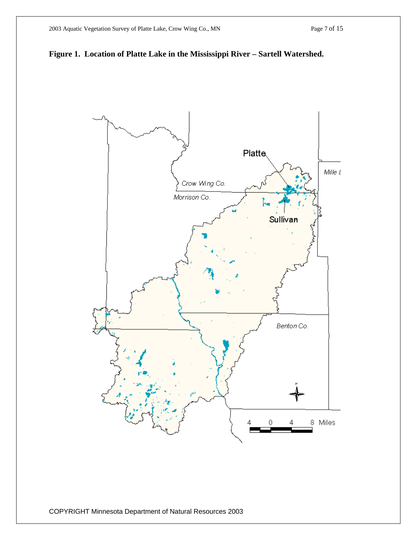

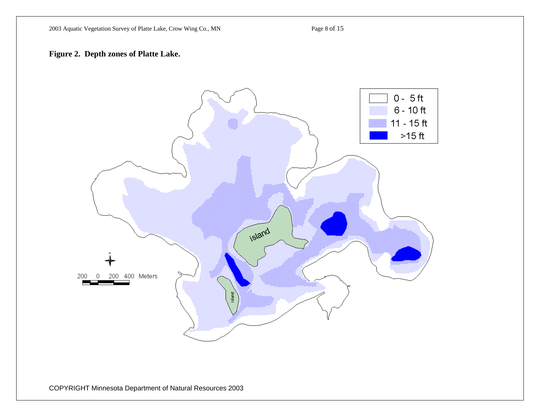#### **Figure 2. Depth zones of Platte Lake.**

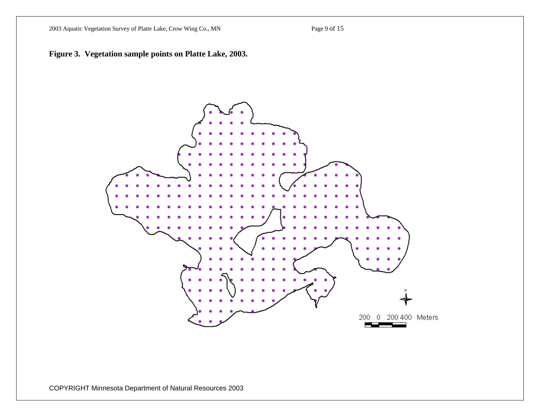2003 Aquatic Vegetation Survey of Platte Lake, Crow Wing Co., MN Page 9 of 15



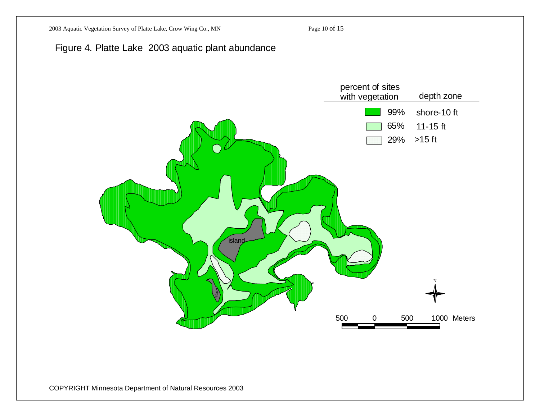



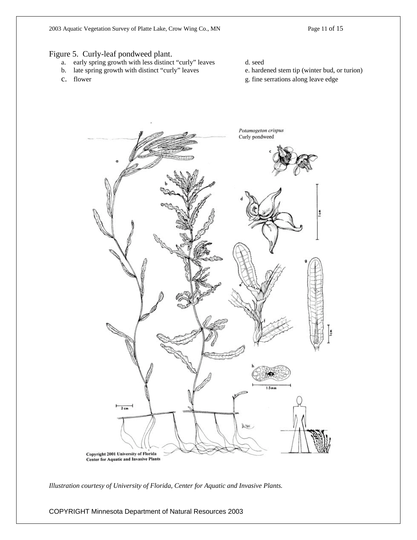2003 Aquatic Vegetation Survey of Platte Lake, Crow Wing Co., MN Page 11 of 15

#### Figure 5. Curly-leaf pondweed plant.

- a. early spring growth with less distinct "curly" leaves d. seed
- b. late spring growth with distinct "curly" leaves e. hardened stem tip (winter bud, or turion)
- 
- 
- 
- c. flower g. fine serrations along leave edge



*Illustration courtesy of University of Florida, Center for Aquatic and Invasive Plants.*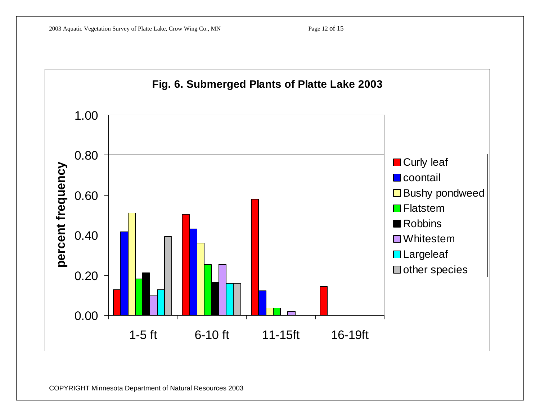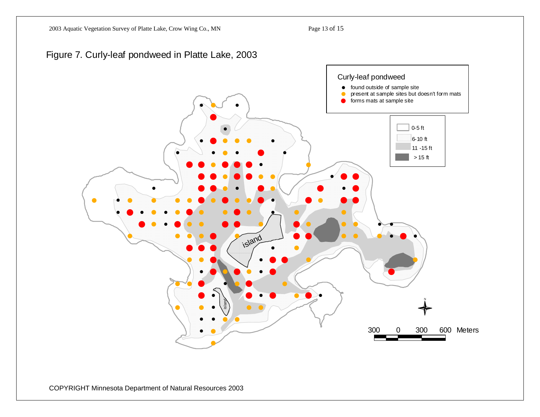### Figure 7. Curly-leaf pondweed in Platte Lake, 2003

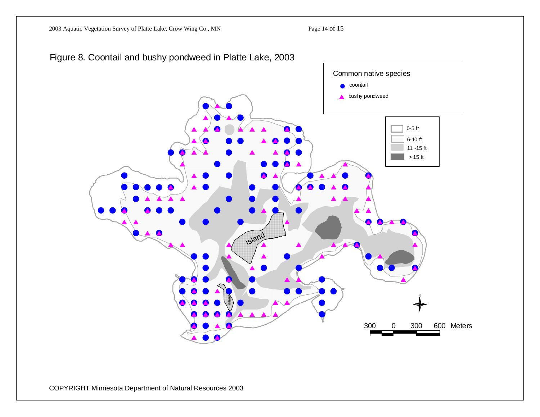